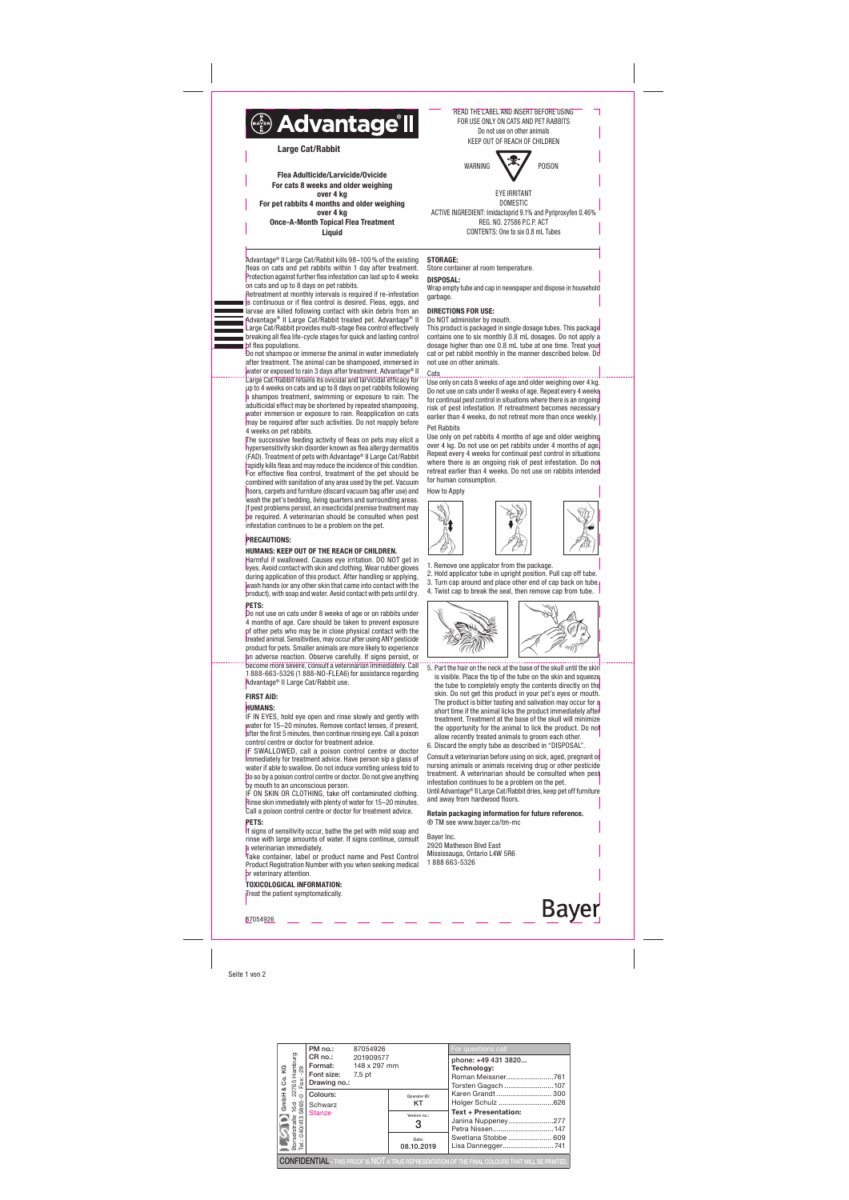Seite 1 von 2

Retreatment at monthly intervals is required if re-infestation is continuous or if flea control is desired. Fleas, eggs, and larvae are killed following contact with skin debris from an Advantage® II Large Cat/Rabbit treated pet. Advantage® II Large Cat/Rabbit provides multi-stage flea control effectively breaking all flea life-cycle stages for quick and lasting control bf flea populations.

Advantage® II Large Cat/Rabbit kills 98–100% of the existing fleas on cats and pet rabbits within 1 day after treatment. Protection against further flea infestation can last up to 4 weeks on cats and up to 8 days on pet rabbits.



Do not shampoo or immerse the animal in water immediately after treatment. The animal can be shampooed, immersed in water or exposed to rain 3 days after treatment. Advantage® II Large Cat/Rabbit retains its ovicidal and larvicidal efficacy for up to 4 weeks on cats and up to 8 days on pet rabbits following a shampoo treatment, swimming or exposure to rain. The adulticidal effect may be shortened by repeated shampooing, water immersion or exposure to rain. Reapplication on cats may be required after such activities. Do not reapply before 4 weeks on pet rabbits.

The successive feeding activity of fleas on pets may elicit a hypersensitivity skin disorder known as flea allergy dermatitis (FAD). Treatment of pets with Advantage® II Large Cat/Rabbit rapidly kills fleas and may reduce the incidence of this condition. For effective flea control, treatment of the pet should be combined with sanitation of any area used by the pet. Vacuum floors, carpets and furniture (discard vacuum bag after use) and wash the pet's bedding, living quarters and surrounding areas. If pest problems persist, an insecticidal premise treatment may be required. A veterinarian should be consulted when pest infestation continues to be a problem on the pet.

If signs of sensitivity occur, bathe the pet with mild soap and rinse with large amounts of water. If signs continue, consult a veterinarian immediately.

Take container, label or product name and Pest Control Product Registration Number with you when seeking medical or veterinary attention.

#### PRECAUTIONS:

# HUMANS: KEEP OUT OF THE REACH OF CHILDREN.

Harmful if swallowed. Causes eye irritation. DO NOT get in eyes. Avoid contact with skin and clothing. Wear rubber gloves during application of this product. After handling or applying, wash hands (or any other skin that came into contact with the product), with soap and water. Avoid contact with pets until dry. PETS:

### Do not use on cats under 8 weeks of age or on rabbits under 4 months of age. Care should be taken to prevent exposure of other pets who may be in close physical contact with the treated animal. Sensitivities, may occur after using ANY pesticide product for pets. Smaller animals are more likely to experience an adverse reaction. Observe carefully. If signs persist, or become more severe, consult a veterinarian immediately. Call 1 888-663-5326 (1 888-NO-FLEA6) for assistance regarding Advantage® II Large Cat/Rabbit use.

# FIRST AID:

# HUMANS:

IF IN EYES, hold eye open and rinse slowly and gently with water for 15–20 minutes. Remove contact lenses, if present, after the first 5 minutes, then continue rinsing eye. Call a poison control centre or doctor for treatment advice.

**Bayer** 87054926

IF SWALLOWED, call a poison control centre or doctor immediately for treatment advice. Have person sip a glass of water if able to swallow. Do not induce vomiting unless told to do so by a poison control centre or doctor. Do not give anything by mouth to an unconscious person.

IF ON SKIN OR CLOTHING, take off contaminated clothing. Rinse skin immediately with plenty of water for 15–20 minutes. Call a poison control centre or doctor for treatment advice.

# PETS:

TOXICOLOGICAL INFORMATION:

Treat the patient symptomatically.

# STORAGE:

Store container at room temperature. DISPOSAL:

Wrap empty tube and cap in newspaper and dispose in household garbage.

# DIRECTIONS FOR USE:

Do NOT administer by mouth. This product is packaged in single dosage tubes. This package contains one to six monthly 0.8 mL dosages. Do not apply a dosage higher than one 0.8 mL tube at one time. Treat your cat or pet rabbit monthly in the manner described below. Do not use on other animals.

**Cats** Use only on cats 8 weeks of age and older weighing over 4 kg. Do not use on cats under 8 weeks of age. Repeat every 4 weeks for continual pest control in situations where there is an ongoing risk of pest infestation. If retreatment becomes necessary earlier than 4 weeks, do not retreat more than once weekly.

#### Pet Rabbits

Use only on pet rabbits 4 months of age and older weighing over 4 kg. Do not use on pet rabbits under 4 months of age. Repeat every 4 weeks for continual pest control in situations where there is an ongoing risk of pest infestation. Do not retreat earlier than 4 weeks. Do not use on rabbits intended for human consumption.



1. Remove one applicator from the package.

- 2. Hold applicator tube in upright position. Pull cap off tube. 3. Turn cap around and place other end of cap back on tube.
- 4. Twist cap to break the seal, then remove cap from tube.



5. Part the hair on the neck at the base of the skull until the skin is visible. Place the tip of the tube on the skin and squeeze the tube to completely empty the contents directly on the skin. Do not get this product in your pet's eyes or mouth. The product is bitter tasting and salivation may occur for a short time if the animal licks the product immediately after treatment. Treatment at the base of the skull will minimize the opportunity for the animal to lick the product. Do not allow recently treated animals to groom each other.

6. Discard the empty tube as described in "DISPOSAL". Consult a veterinarian before using on sick, aged, pregnant or nursing animals or animals receiving drug or other pesticide treatment. A veterinarian should be consulted when pest infestation continues to be a problem on the pet. Until Advantage® II Large Cat/Rabbit dries, keep pet off furniture and away from hardwood floors.

Retain packaging information for future reference. ® TM see www.bayer.ca/tm-mc

Bayer Inc. 2920 Matheson Blvd East Mississauga, Ontario L4W 5R6 1 888 663-5326

READ THE LABEL AND INSERT BEFORE USING FOR USE ONLY ON CATS AND PET RABBITS Do not use on other animals KEEP OUT OF REACH OF CHILDREN

┑



EYE IRRITANT DOMESTIC ACTIVE INGREDIENT: Imidacloprid 9.1% and Pyriproxyfen 0.46% REG. NO. 27586 P.C.P. ACT CONTENTS: One to six 0.8 mL Tubes

Flea Adulticide/Larvicide/Ovicide For cats 8 weeks and older weighing over 4 kg For pet rabbits 4 months and older weighing over 4 kg Once-A-Month Topical Flea Treatment Liquid

| Co.KG     | PM no.:                                                                                                                                                                                                                                                                               | 87054926  |                     | For questions call                                                                                       |  |
|-----------|---------------------------------------------------------------------------------------------------------------------------------------------------------------------------------------------------------------------------------------------------------------------------------------|-----------|---------------------|----------------------------------------------------------------------------------------------------------|--|
|           | <b>Format:</b> 148 x 297 mm<br>Font size: 7,5 pt<br>Drawing no.:                                                                                                                                                                                                                      | 201909577 |                     | phone: +49 431 3820<br>Technology:<br>Roman Meissner761<br>Torsten Gagsch 107                            |  |
| ∝<br>GmbH | Primate<br>En Roi.<br>CR no.:<br>Fort size<br>Fort size<br>Fort size<br>Fort size<br>Fort size<br>Fort size<br>Fort size<br>Scale<br>Scale<br>Scale<br>Scale<br>Scale<br>Scale<br>Scale<br>Scale<br>Scale<br>Scale<br>Scale<br>Scale<br>Scale<br>Scale<br>Scale<br>Scale<br>Scale<br> |           | Operator ID:<br>KT  | Karen Grandt  300<br>Holger Schulz 626<br><b>Text + Presentation:</b><br>Janina Nuppeney277              |  |
|           |                                                                                                                                                                                                                                                                                       |           | Version no.:<br>3   |                                                                                                          |  |
|           |                                                                                                                                                                                                                                                                                       |           | Date:<br>08.10.2019 | Swetlana Stobbe  609<br>Lisa Dannegger741                                                                |  |
|           |                                                                                                                                                                                                                                                                                       |           |                     | <b>CONFIDENTIAL</b> - THIS PROOF IS NOT A TRUE REPRESENTATION OF THE FINAL COLOURS THAT WILL BE PRINTED. |  |



Large Cat/Rabbit